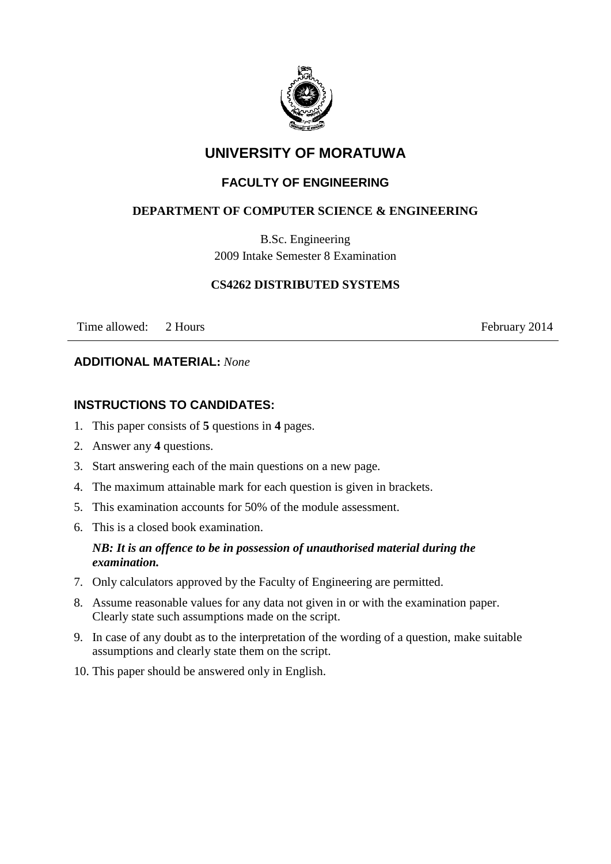

# **UNIVERSITY OF MORATUWA**

## **FACULTY OF ENGINEERING**

### **DEPARTMENT OF COMPUTER SCIENCE & ENGINEERING**

B.Sc. Engineering 2009 Intake Semester 8 Examination

#### **CS4262 DISTRIBUTED SYSTEMS**

Time allowed: 2 Hours February 2014

#### **ADDITIONAL MATERIAL:** *None*

## **INSTRUCTIONS TO CANDIDATES:**

- 1. This paper consists of **5** questions in **4** pages.
- 2. Answer any **4** questions.
- 3. Start answering each of the main questions on a new page.
- 4. The maximum attainable mark for each question is given in brackets.
- 5. This examination accounts for 50% of the module assessment.
- 6. This is a closed book examination.

#### *NB: It is an offence to be in possession of unauthorised material during the examination.*

- 7. Only calculators approved by the Faculty of Engineering are permitted.
- 8. Assume reasonable values for any data not given in or with the examination paper. Clearly state such assumptions made on the script.
- 9. In case of any doubt as to the interpretation of the wording of a question, make suitable assumptions and clearly state them on the script.
- 10. This paper should be answered only in English.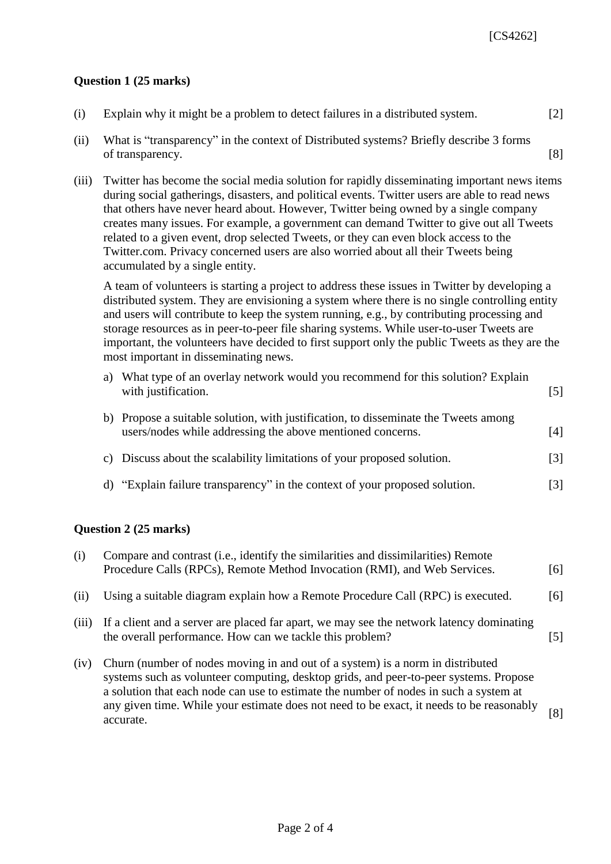#### **Question 1 (25 marks)**

| (i)   | Explain why it might be a problem to detect failures in a distributed system.                                                                                                                                                                                                                                                                                                                                                                                                                                                                                                                      | [2] |
|-------|----------------------------------------------------------------------------------------------------------------------------------------------------------------------------------------------------------------------------------------------------------------------------------------------------------------------------------------------------------------------------------------------------------------------------------------------------------------------------------------------------------------------------------------------------------------------------------------------------|-----|
| (ii)  | What is "transparency" in the context of Distributed systems? Briefly describe 3 forms<br>of transparency.                                                                                                                                                                                                                                                                                                                                                                                                                                                                                         | [8] |
| (111) | Twitter has become the social media solution for rapidly disseminating important news items<br>during social gatherings, disasters, and political events. Twitter users are able to read news<br>that others have never heard about. However, Twitter being owned by a single company<br>creates many issues. For example, a government can demand Twitter to give out all Tweets<br>related to a given event, drop selected Tweets, or they can even block access to the<br>Twitter.com. Privacy concerned users are also worried about all their Tweets being<br>accumulated by a single entity. |     |

A team of volunteers is starting a project to address these issues in Twitter by developing a distributed system. They are envisioning a system where there is no single controlling entity and users will contribute to keep the system running, e.g., by contributing processing and storage resources as in peer-to-peer file sharing systems. While user-to-user Tweets are important, the volunteers have decided to first support only the public Tweets as they are the most important in disseminating news.

| a) | What type of an overlay network would you recommend for this solution? Explain<br>with justification.                                             | $\lceil 5 \rceil$ |
|----|---------------------------------------------------------------------------------------------------------------------------------------------------|-------------------|
|    | b) Propose a suitable solution, with justification, to disseminate the Tweets among<br>users/nodes while addressing the above mentioned concerns. | [4]               |
|    | c) Discuss about the scalability limitations of your proposed solution.                                                                           | $\lceil 3 \rceil$ |

d) "Explain failure transparency" in the context of your proposed solution. [3]

#### **Question 2 (25 marks)**

| (i)   | Compare and contrast ( <i>i.e.</i> , identify the similarities and dissimilarities) Remote<br>Procedure Calls (RPCs), Remote Method Invocation (RMI), and Web Services.                                                                                                                                                                                                   | [6]  |
|-------|---------------------------------------------------------------------------------------------------------------------------------------------------------------------------------------------------------------------------------------------------------------------------------------------------------------------------------------------------------------------------|------|
| (11)  | Using a suitable diagram explain how a Remote Procedure Call (RPC) is executed.                                                                                                                                                                                                                                                                                           | 161  |
| (iii) | If a client and a server are placed far apart, we may see the network latency dominating<br>the overall performance. How can we tackle this problem?                                                                                                                                                                                                                      | 15 I |
| (iv)  | Churn (number of nodes moving in and out of a system) is a norm in distributed<br>systems such as volunteer computing, desktop grids, and peer-to-peer systems. Propose<br>a solution that each node can use to estimate the number of nodes in such a system at<br>any given time. While your estimate does not need to be exact, it needs to be reasonably<br>accurate. | [8]  |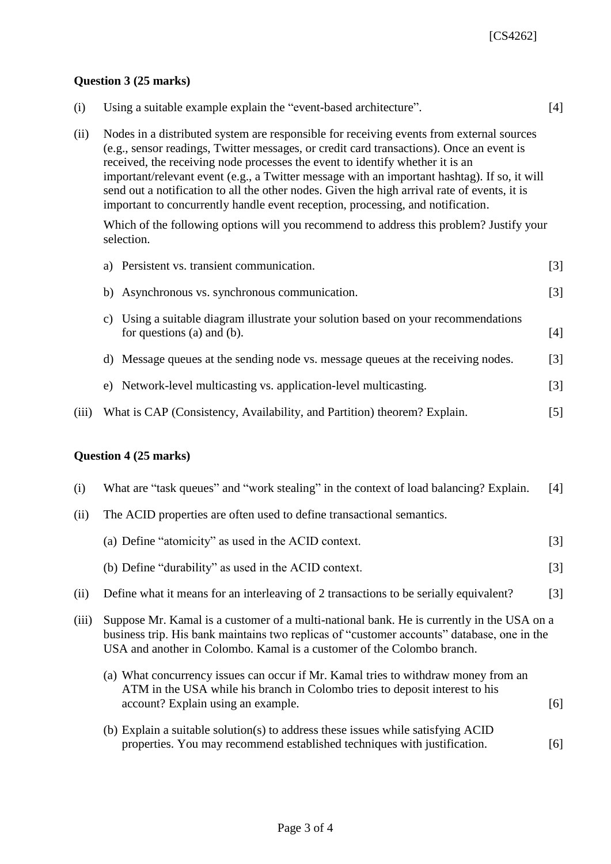#### **Question 3 (25 marks)**

| (i)   | Using a suitable example explain the "event-based architecture".                                                                                                                                                                                                                                                                                                                                                                                                                                                                                         | $[4]$ |
|-------|----------------------------------------------------------------------------------------------------------------------------------------------------------------------------------------------------------------------------------------------------------------------------------------------------------------------------------------------------------------------------------------------------------------------------------------------------------------------------------------------------------------------------------------------------------|-------|
| (ii)  | Nodes in a distributed system are responsible for receiving events from external sources<br>(e.g., sensor readings, Twitter messages, or credit card transactions). Once an event is<br>received, the receiving node processes the event to identify whether it is an<br>important/relevant event (e.g., a Twitter message with an important hashtag). If so, it will<br>send out a notification to all the other nodes. Given the high arrival rate of events, it is<br>important to concurrently handle event reception, processing, and notification. |       |
|       | Which of the following options will you recommend to address this problem? Justify your<br>selection.                                                                                                                                                                                                                                                                                                                                                                                                                                                    |       |
|       | a) Persistent vs. transient communication.                                                                                                                                                                                                                                                                                                                                                                                                                                                                                                               | $[3]$ |
|       | b) Asynchronous vs. synchronous communication.                                                                                                                                                                                                                                                                                                                                                                                                                                                                                                           | $[3]$ |
|       | c) Using a suitable diagram illustrate your solution based on your recommendations<br>for questions (a) and (b).                                                                                                                                                                                                                                                                                                                                                                                                                                         | $[4]$ |
|       | d) Message queues at the sending node vs. message queues at the receiving nodes.                                                                                                                                                                                                                                                                                                                                                                                                                                                                         | [3]   |
|       | e) Network-level multicasting vs. application-level multicasting.                                                                                                                                                                                                                                                                                                                                                                                                                                                                                        | $[3]$ |
| (iii) | What is CAP (Consistency, Availability, and Partition) theorem? Explain.                                                                                                                                                                                                                                                                                                                                                                                                                                                                                 | $[5]$ |
|       | Question 4 (25 marks)                                                                                                                                                                                                                                                                                                                                                                                                                                                                                                                                    |       |
| (i)   | What are "task queues" and "work stealing" in the context of load balancing? Explain.                                                                                                                                                                                                                                                                                                                                                                                                                                                                    | [4]   |
| (ii)  | The ACID properties are often used to define transactional semantics.                                                                                                                                                                                                                                                                                                                                                                                                                                                                                    |       |
|       | (a) Define "atomicity" as used in the ACID context.                                                                                                                                                                                                                                                                                                                                                                                                                                                                                                      | $[3]$ |
|       | (b) Define "durability" as used in the ACID context.                                                                                                                                                                                                                                                                                                                                                                                                                                                                                                     | $[3]$ |
| (ii)  | Define what it means for an interleaving of 2 transactions to be serially equivalent?                                                                                                                                                                                                                                                                                                                                                                                                                                                                    | $[3]$ |
| (iii) | Suppose Mr. Kamal is a customer of a multi-national bank. He is currently in the USA on a<br>business trip. His bank maintains two replicas of "customer accounts" database, one in the<br>USA and another in Colombo. Kamal is a customer of the Colombo branch.                                                                                                                                                                                                                                                                                        |       |
|       |                                                                                                                                                                                                                                                                                                                                                                                                                                                                                                                                                          |       |

- (a) What concurrency issues can occur if Mr. Kamal tries to withdraw money from an ATM in the USA while his branch in Colombo tries to deposit interest to his account? Explain using an example. [6]
- (b) Explain a suitable solution(s) to address these issues while satisfying ACID properties. You may recommend established techniques with justification. [6]